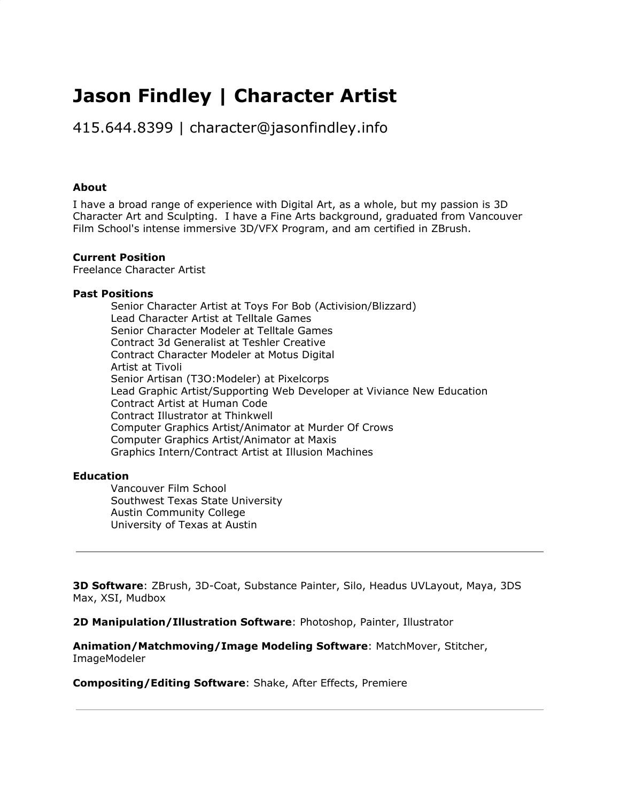# **Jason Findley | Character Artist**

415.644.8399 | character@jasonfindley.info

#### **About**

I have a broad range of experience with Digital Art, as a whole, but my passion is 3D Character Art and Sculpting. I have a Fine Arts background, graduated from Vancouver Film School's intense immersive 3D/VFX Program, and am certified in ZBrush.

#### **Current Position**

Freelance Character Artist

#### **Past Positions**

Senior Character Artist at Toys For Bob (Activision/Blizzard) Lead Character Artist at Telltale Games Senior Character Modeler at Telltale Games Contract 3d Generalist at Teshler Creative Contract Character Modeler at Motus Digital Artist at Tivoli Senior Artisan (T3O:Modeler) at Pixelcorps Lead Graphic Artist/Supporting Web Developer at Viviance New Education Contract Artist at Human Code Contract Illustrator at Thinkwell Computer Graphics Artist/Animator at Murder Of Crows Computer Graphics Artist/Animator at Maxis Graphics Intern/Contract Artist at Illusion Machines

#### **Education**

Vancouver Film School Southwest Texas State University Austin Community College University of Texas at Austin

**3D Software**: ZBrush, 3D-Coat, Substance Painter, Silo, Headus UVLayout, Maya, 3DS Max, XSI, Mudbox

**2D Manipulation/Illustration Software**: Photoshop, Painter, Illustrator

**Animation/Matchmoving/Image Modeling Software**: MatchMover, Stitcher, ImageModeler

**Compositing/Editing Software**: Shake, After Effects, Premiere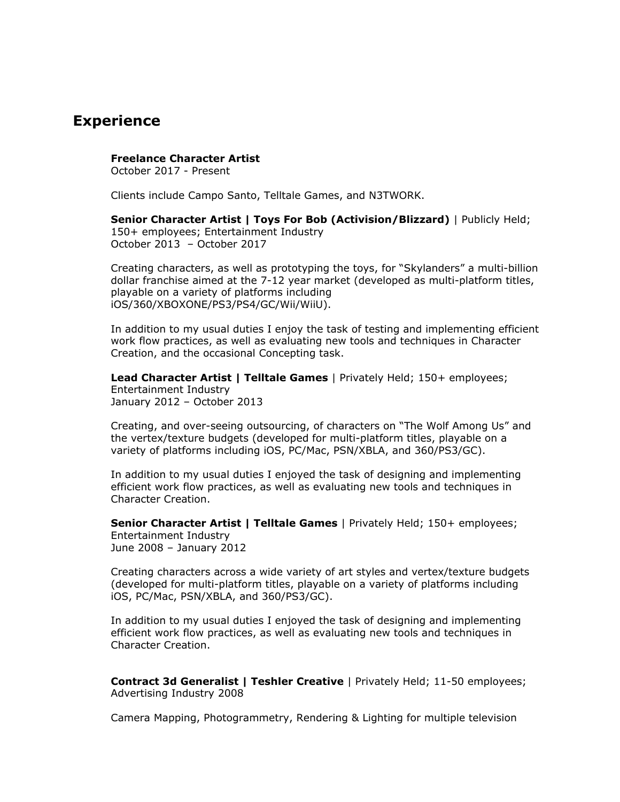### **Experience**

#### **Freelance Character Artist**

October 2017 - Present

Clients include Campo Santo, Telltale Games, and N3TWORK.

**Senior Character Artist | Toys For Bob (Activision/Blizzard)** | Publicly Held; 150+ employees; Entertainment Industry October 2013 – October 2017

Creating characters, as well as prototyping the toys, for "Skylanders" a multi-billion dollar franchise aimed at the 7-12 year market (developed as multi-platform titles, playable on a variety of platforms including iOS/360/XBOXONE/PS3/PS4/GC/Wii/WiiU).

In addition to my usual duties I enjoy the task of testing and implementing efficient work flow practices, as well as evaluating new tools and techniques in Character Creation, and the occasional Concepting task.

**Lead Character Artist | Telltale Games** | Privately Held; 150+ employees; Entertainment Industry January 2012 – October 2013

Creating, and over-seeing outsourcing, of characters on "The Wolf Among Us" and the vertex/texture budgets (developed for multi-platform titles, playable on a variety of platforms including iOS, PC/Mac, PSN/XBLA, and 360/PS3/GC).

In addition to my usual duties I enjoyed the task of designing and implementing efficient work flow practices, as well as evaluating new tools and techniques in Character Creation.

**Senior Character Artist | Telltale Games** | Privately Held; 150+ employees; Entertainment Industry June 2008 – January 2012

Creating characters across a wide variety of art styles and vertex/texture budgets (developed for multi-platform titles, playable on a variety of platforms including iOS, PC/Mac, PSN/XBLA, and 360/PS3/GC).

In addition to my usual duties I enjoyed the task of designing and implementing efficient work flow practices, as well as evaluating new tools and techniques in Character Creation.

**Contract 3d Generalist | Teshler Creative** | Privately Held; 11-50 employees; Advertising Industry 2008

Camera Mapping, Photogrammetry, Rendering & Lighting for multiple television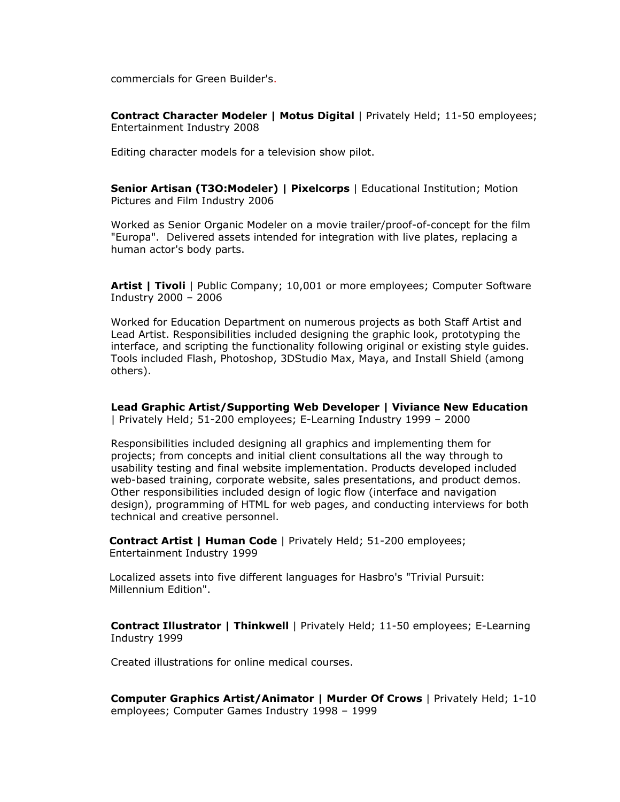commercials for Green Builder's.

**Contract Character Modeler | Motus Digital** | Privately Held; 11-50 employees; Entertainment Industry 2008

Editing character models for a television show pilot.

**Senior Artisan (T3O:Modeler) | Pixelcorps** | Educational Institution; Motion Pictures and Film Industry 2006

Worked as Senior Organic Modeler on a movie trailer/proof-of-concept for the film "Europa". Delivered assets intended for integration with live plates, replacing a human actor's body parts.

**Artist | Tivoli** | Public Company; 10,001 or more employees; Computer Software Industry 2000 – 2006

Worked for Education Department on numerous projects as both Staff Artist and Lead Artist. Responsibilities included designing the graphic look, prototyping the interface, and scripting the functionality following original or existing style guides. Tools included Flash, Photoshop, 3DStudio Max, Maya, and Install Shield (among others).

**Lead Graphic Artist/Supporting Web Developer | Viviance New Education** | Privately Held; 51-200 employees; E-Learning Industry 1999 – 2000

Responsibilities included designing all graphics and implementing them for projects; from concepts and initial client consultations all the way through to usability testing and final website implementation. Products developed included web-based training, corporate website, sales presentations, and product demos. Other responsibilities included design of logic flow (interface and navigation design), programming of HTML for web pages, and conducting interviews for both technical and creative personnel.

**Contract Artist | Human Code** | Privately Held; 51-200 employees; Entertainment Industry 1999

Localized assets into five different languages for Hasbro's "Trivial Pursuit: Millennium Edition".

**Contract Illustrator | Thinkwell** | Privately Held; 11-50 employees; E-Learning Industry 1999

Created illustrations for online medical courses.

**Computer Graphics Artist/Animator | Murder Of Crows** | Privately Held; 1-10 employees; Computer Games Industry 1998 – 1999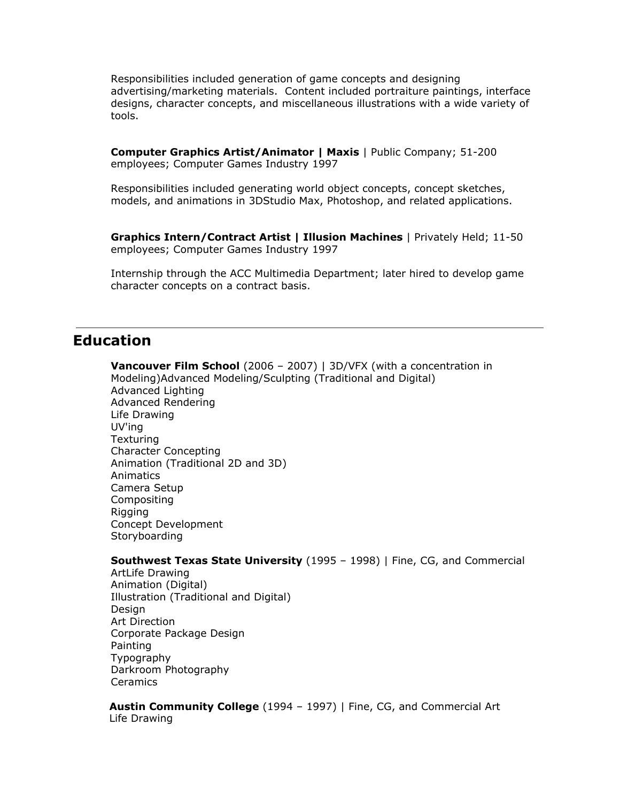Responsibilities included generation of game concepts and designing advertising/marketing materials. Content included portraiture paintings, interface designs, character concepts, and miscellaneous illustrations with a wide variety of tools.

**Computer Graphics Artist/Animator | Maxis** | Public Company; 51-200 employees; Computer Games Industry 1997

Responsibilities included generating world object concepts, concept sketches, models, and animations in 3DStudio Max, Photoshop, and related applications.

**Graphics Intern/Contract Artist | Illusion Machines** | Privately Held; 11-50 employees; Computer Games Industry 1997

Internship through the ACC Multimedia Department; later hired to develop game character concepts on a contract basis.

### **Education**

**Vancouver Film School** (2006 – 2007) | 3D/VFX (with a concentration in Modeling)Advanced Modeling/Sculpting (Traditional and Digital) Advanced Lighting Advanced Rendering Life Drawing UV'ing **Texturing** Character Concepting Animation (Traditional 2D and 3D) Animatics Camera Setup Compositing Rigging Concept Development **Storyboarding** 

#### **Southwest Texas State University** (1995 – 1998) | Fine, CG, and Commercial

ArtLife Drawing Animation (Digital) Illustration (Traditional and Digital) Design Art Direction Corporate Package Design Painting Typography Darkroom Photography **Ceramics** 

**Austin Community College** (1994 – 1997) | Fine, CG, and Commercial Art Life Drawing